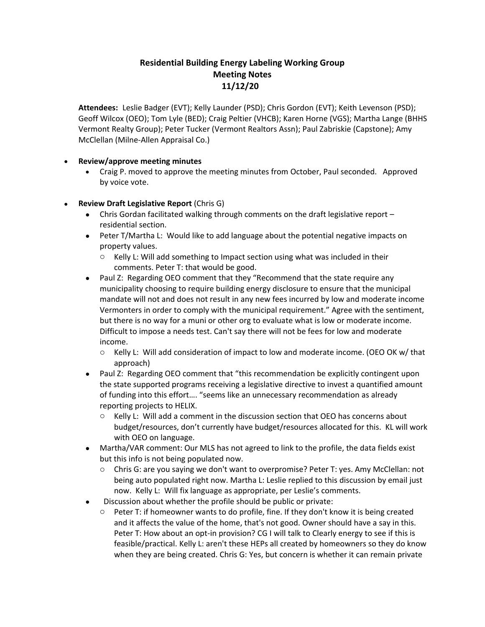## **Residential Building Energy Labeling Working Group Meeting Notes 11/12/20**

**Attendees:** Leslie Badger (EVT); Kelly Launder (PSD); Chris Gordon (EVT); Keith Levenson (PSD); Geoff Wilcox (OEO); Tom Lyle (BED); Craig Peltier (VHCB); Karen Horne (VGS); Martha Lange (BHHS Vermont Realty Group); Peter Tucker (Vermont Realtors Assn); Paul Zabriskie (Capstone); Amy McClellan (Milne-Allen Appraisal Co.)

## • **Review/approve meeting minutes**

• Craig P. moved to approve the meeting minutes from October, Paul seconded. Approved by voice vote.

## • **Review Draft Legislative Report** (Chris G)

- Chris Gordan facilitated walking through comments on the draft legislative report residential section.
- Peter T/Martha L: Would like to add language about the potential negative impacts on property values.
	- o Kelly L: Will add something to Impact section using what was included in their comments. Peter T: that would be good.
- Paul Z: Regarding OEO comment that they "Recommend that the state require any municipality choosing to require building energy disclosure to ensure that the municipal mandate will not and does not result in any new fees incurred by low and moderate income Vermonters in order to comply with the municipal requirement." Agree with the sentiment, but there is no way for a muni or other org to evaluate what is low or moderate income. Difficult to impose a needs test. Can't say there will not be fees for low and moderate income.
	- o Kelly L: Will add consideration of impact to low and moderate income. (OEO OK w/ that approach)
- Paul Z: Regarding OEO comment that "this recommendation be explicitly contingent upon the state supported programs receiving a legislative directive to invest a quantified amount of funding into this effort…. "seems like an unnecessary recommendation as already reporting projects to HELIX.
	- o Kelly L: Will add a comment in the discussion section that OEO has concerns about budget/resources, don't currently have budget/resources allocated for this. KL will work with OEO on language.
- Martha/VAR comment: Our MLS has not agreed to link to the profile, the data fields exist but this info is not being populated now.
	- o Chris G: are you saying we don't want to overpromise? Peter T: yes. Amy McClellan: not being auto populated right now. Martha L: Leslie replied to this discussion by email just now. Kelly L: Will fix language as appropriate, per Leslie's comments.
- Discussion about whether the profile should be public or private:
	- $\circ$  Peter T: if homeowner wants to do profile, fine. If they don't know it is being created and it affects the value of the home, that's not good. Owner should have a say in this. Peter T: How about an opt-in provision? CG I will talk to Clearly energy to see if this is feasible/practical. Kelly L: aren't these HEPs all created by homeowners so they do know when they are being created. Chris G: Yes, but concern is whether it can remain private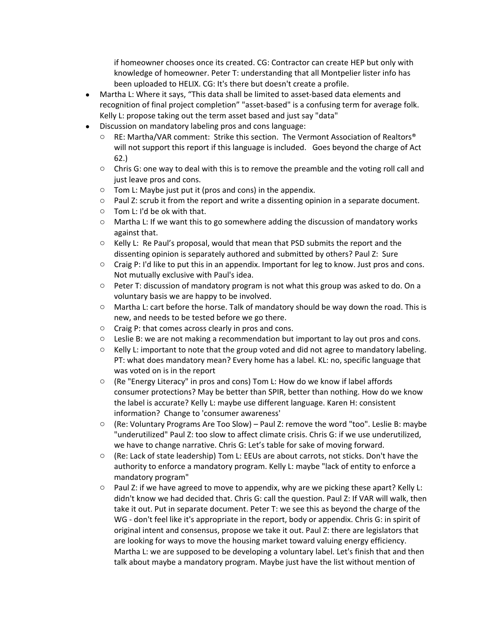if homeowner chooses once its created. CG: Contractor can create HEP but only with knowledge of homeowner. Peter T: understanding that all Montpelier lister info has been uploaded to HELIX. CG: It's there but doesn't create a profile.

- Martha L: Where it says, "This data shall be limited to asset-based data elements and recognition of final project completion" "asset-based" is a confusing term for average folk. Kelly L: propose taking out the term asset based and just say "data"
- Discussion on mandatory labeling pros and cons language:
	- $\circ$  RE: Martha/VAR comment: Strike this section. The Vermont Association of Realtors® will not support this report if this language is included. Goes beyond the charge of Act 62.)
	- $\circ$  Chris G: one way to deal with this is to remove the preamble and the voting roll call and just leave pros and cons.
	- $\circ$  Tom L: Maybe just put it (pros and cons) in the appendix.
	- $\circ$  Paul Z: scrub it from the report and write a dissenting opinion in a separate document.
	- o Tom L: I'd be ok with that.
	- $\circ$  Martha L: If we want this to go somewhere adding the discussion of mandatory works against that.
	- $\circ$  Kelly L: Re Paul's proposal, would that mean that PSD submits the report and the dissenting opinion is separately authored and submitted by others? Paul Z: Sure
	- $\circ$  Craig P: I'd like to put this in an appendix. Important for leg to know. Just pros and cons. Not mutually exclusive with Paul's idea.
	- $\circ$  Peter T: discussion of mandatory program is not what this group was asked to do. On a voluntary basis we are happy to be involved.
	- $\circ$  Martha L: cart before the horse. Talk of mandatory should be way down the road. This is new, and needs to be tested before we go there.
	- o Craig P: that comes across clearly in pros and cons.
	- o Leslie B: we are not making a recommendation but important to lay out pros and cons.
	- $\circ$  Kelly L: important to note that the group voted and did not agree to mandatory labeling. PT: what does mandatory mean? Every home has a label. KL: no, specific language that was voted on is in the report
	- o (Re "Energy Literacy" in pros and cons) Tom L: How do we know if label affords consumer protections? May be better than SPIR, better than nothing. How do we know the label is accurate? Kelly L: maybe use different language. Karen H: consistent information? Change to 'consumer awareness'
	- $\circ$  (Re: Voluntary Programs Are Too Slow) Paul Z: remove the word "too". Leslie B: maybe "underutilized" Paul Z: too slow to affect climate crisis. Chris G: if we use underutilized, we have to change narrative. Chris G: Let's table for sake of moving forward.
	- o (Re: Lack of state leadership) Tom L: EEUs are about carrots, not sticks. Don't have the authority to enforce a mandatory program. Kelly L: maybe "lack of entity to enforce a mandatory program"
	- $\circ$  Paul Z: if we have agreed to move to appendix, why are we picking these apart? Kelly L: didn't know we had decided that. Chris G: call the question. Paul Z: If VAR will walk, then take it out. Put in separate document. Peter T: we see this as beyond the charge of the WG - don't feel like it's appropriate in the report, body or appendix. Chris G: in spirit of original intent and consensus, propose we take it out. Paul Z: there are legislators that are looking for ways to move the housing market toward valuing energy efficiency. Martha L: we are supposed to be developing a voluntary label. Let's finish that and then talk about maybe a mandatory program. Maybe just have the list without mention of